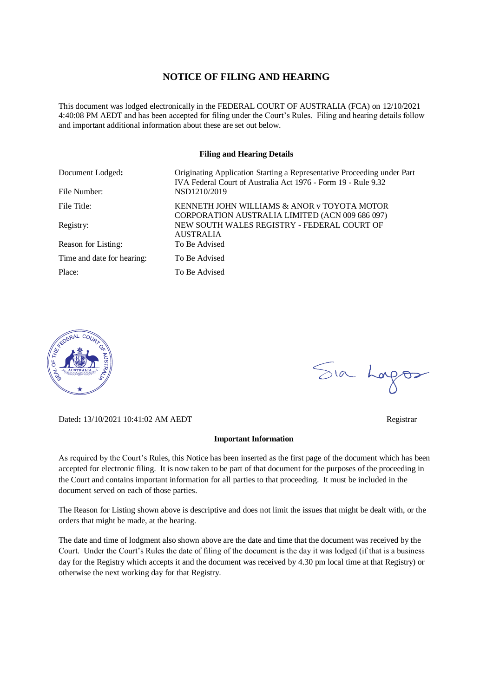## **NOTICE OF FILING AND HEARING**

This document was lodged electronically in the FEDERAL COURT OF AUSTRALIA (FCA) on 12/10/2021 4:40:08 PM AEDT and has been accepted for filing under the Court's Rules. Filing and hearing details follow and important additional information about these are set out below.

#### **Filing and Hearing Details**

| Document Lodged:           | Originating Application Starting a Representative Proceeding under Part<br>IVA Federal Court of Australia Act 1976 - Form 19 - Rule 9.32 |
|----------------------------|------------------------------------------------------------------------------------------------------------------------------------------|
| File Number:               | NSD1210/2019                                                                                                                             |
| File Title:                | KENNETH JOHN WILLIAMS & ANOR v TOYOTA MOTOR<br>CORPORATION AUSTRALIA LIMITED (ACN 009 686 097)                                           |
| Registry:                  | NEW SOUTH WALES REGISTRY - FEDERAL COURT OF<br><b>AUSTRALIA</b>                                                                          |
| Reason for Listing:        | To Be Advised                                                                                                                            |
| Time and date for hearing: | To Be Advised                                                                                                                            |
| Place:                     | To Be Advised                                                                                                                            |



Dated**:** 13/10/2021 10:41:02 AM AEDT Registrar

#### **Important Information**

As required by the Court's Rules, this Notice has been inserted as the first page of the document which has been accepted for electronic filing. It is now taken to be part of that document for the purposes of the proceeding in the Court and contains important information for all parties to that proceeding. It must be included in the document served on each of those parties.

The Reason for Listing shown above is descriptive and does not limit the issues that might be dealt with, or the orders that might be made, at the hearing.

The date and time of lodgment also shown above are the date and time that the document was received by the Court. Under the Court's Rules the date of filing of the document is the day it was lodged (if that is a business day for the Registry which accepts it and the document was received by 4.30 pm local time at that Registry) or otherwise the next working day for that Registry.

Sia Logos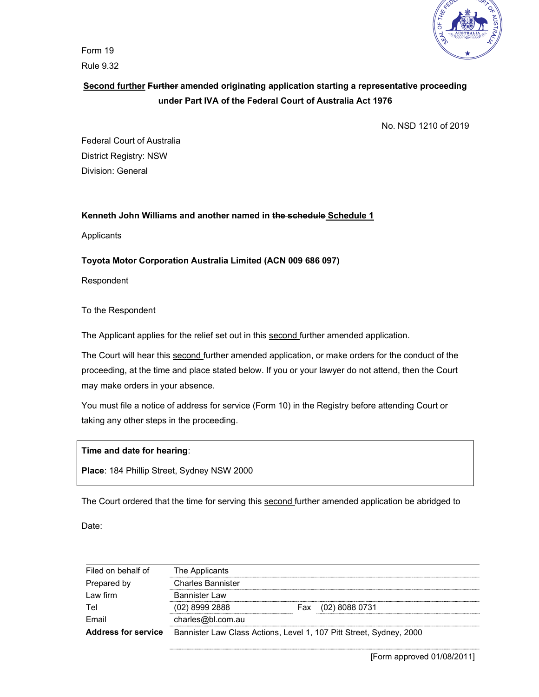

Form 19 Rule 9.32

# Second further Further amended originating application starting a representative proceeding under Part IVA of the Federal Court of Australia Act 1976

No. NSD 1210 of 2019

Federal Court of Australia District Registry: NSW Division: General

## Kenneth John Williams and another named in the schedule Schedule 1

Applicants

## Toyota Motor Corporation Australia Limited (ACN 009 686 097)

Respondent

To the Respondent

The Applicant applies for the relief set out in this second further amended application.

The Court will hear this second further amended application, or make orders for the conduct of the proceeding, at the time and place stated below. If you or your lawyer do not attend, then the Court may make orders in your absence.

You must file a notice of address for service (Form 10) in the Registry before attending Court or taking any other steps in the proceeding.

### Time and date for hearing:

Place: 184 Phillip Street, Sydney NSW 2000

The Court ordered that the time for serving this second further amended application be abridged to

Date:

| Filed on behalf of         | The Applicants                                                      |     |                |  |
|----------------------------|---------------------------------------------------------------------|-----|----------------|--|
| Prepared by                | <b>Charles Bannister</b>                                            |     |                |  |
| Law firm                   | <b>Bannister Law</b>                                                |     |                |  |
| Tel                        | $(02)$ 8999 2888                                                    | Fax | (02) 8088 0731 |  |
| Email                      | charles@bl.com.au                                                   |     |                |  |
| <b>Address for service</b> | Bannister Law Class Actions, Level 1, 107 Pitt Street, Sydney, 2000 |     |                |  |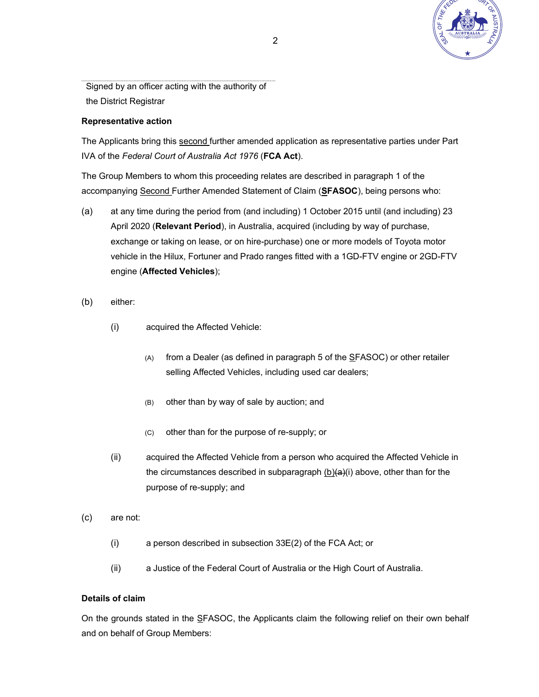

Signed by an officer acting with the authority of the District Registrar

## Representative action

The Applicants bring this second further amended application as representative parties under Part IVA of the Federal Court of Australia Act 1976 (FCA Act).

The Group Members to whom this proceeding relates are described in paragraph 1 of the accompanying Second Further Amended Statement of Claim (SFASOC), being persons who:

- (a) at any time during the period from (and including) 1 October 2015 until (and including) 23 April 2020 (Relevant Period), in Australia, acquired (including by way of purchase, exchange or taking on lease, or on hire-purchase) one or more models of Toyota motor vehicle in the Hilux, Fortuner and Prado ranges fitted with a 1GD-FTV engine or 2GD-FTV engine (Affected Vehicles);
- (b) either:
	- (i) acquired the Affected Vehicle:
		- (A) from a Dealer (as defined in paragraph 5 of the SFASOC) or other retailer selling Affected Vehicles, including used car dealers;
		- (B) other than by way of sale by auction; and
		- (C) other than for the purpose of re-supply; or
	- (ii) acquired the Affected Vehicle from a person who acquired the Affected Vehicle in the circumstances described in subparagraph  $(b)(a)(i)$  above, other than for the purpose of re-supply; and
- (c) are not:
	- (i) a person described in subsection 33E(2) of the FCA Act; or
	- (ii) a Justice of the Federal Court of Australia or the High Court of Australia.

## Details of claim

On the grounds stated in the SFASOC, the Applicants claim the following relief on their own behalf and on behalf of Group Members: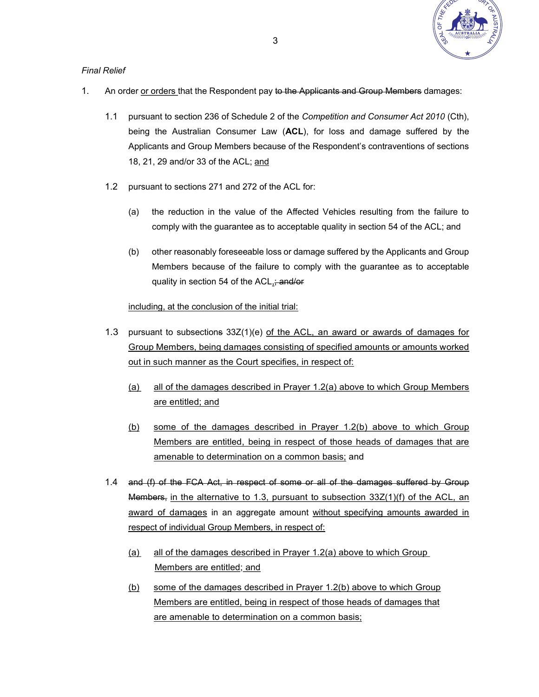

## Final Relief

- 1. An order or orders that the Respondent pay to the Applicants and Group Members damages:
	- 1.1 pursuant to section 236 of Schedule 2 of the Competition and Consumer Act 2010 (Cth), being the Australian Consumer Law (ACL), for loss and damage suffered by the Applicants and Group Members because of the Respondent's contraventions of sections 18, 21, 29 and/or 33 of the ACL; and
	- 1.2 pursuant to sections 271 and 272 of the ACL for:
		- (a) the reduction in the value of the Affected Vehicles resulting from the failure to comply with the guarantee as to acceptable quality in section 54 of the ACL; and
		- (b) other reasonably foreseeable loss or damage suffered by the Applicants and Group Members because of the failure to comply with the guarantee as to acceptable quality in section 54 of the ACL<sub>1</sub>; and/or

including, at the conclusion of the initial trial:

- 1.3 pursuant to subsections 33Z(1)(e) of the ACL, an award or awards of damages for Group Members, being damages consisting of specified amounts or amounts worked out in such manner as the Court specifies, in respect of:
	- (a) all of the damages described in Prayer 1.2(a) above to which Group Members are entitled; and
	- (b) some of the damages described in Prayer 1.2(b) above to which Group Members are entitled, being in respect of those heads of damages that are amenable to determination on a common basis; and
- 1.4 and (f) of the FCA Act, in respect of some or all of the damages suffered by Group Members, in the alternative to 1.3, pursuant to subsection 33Z(1)(f) of the ACL, an award of damages in an aggregate amount without specifying amounts awarded in respect of individual Group Members, in respect of:
	- (a) all of the damages described in Prayer 1.2(a) above to which Group Members are entitled; and
	- (b) some of the damages described in Prayer 1.2(b) above to which Group Members are entitled, being in respect of those heads of damages that are amenable to determination on a common basis;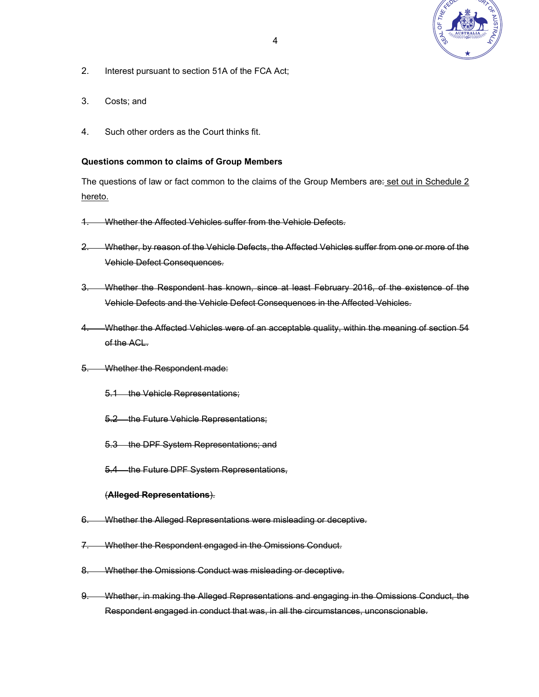

- 2. Interest pursuant to section 51A of the FCA Act;
- 3. Costs; and
- 4. Such other orders as the Court thinks fit.

### Questions common to claims of Group Members

The questions of law or fact common to the claims of the Group Members are: set out in Schedule 2 hereto.

- 1. Whether the Affected Vehicles suffer from the Vehicle Defects.
- 2. Whether, by reason of the Vehicle Defects, the Affected Vehicles suffer from one or more of the Vehicle Defect Consequences.
- 3. Whether the Respondent has known, since at least February 2016, of the existence of the Vehicle Defects and the Vehicle Defect Consequences in the Affected Vehicles.
- 4. Whether the Affected Vehicles were of an acceptable quality, within the meaning of section 54 of the ACL.
- 5. Whether the Respondent made:
	- 5.1 the Vehicle Representations;
	- 5.2 the Future Vehicle Representations;
	- 5.3 the DPF System Representations; and
	- 5.4 the Future DPF System Representations,

### (Alleged Representations).

- 6. Whether the Alleged Representations were misleading or deceptive.
- 7. Whether the Respondent engaged in the Omissions Conduct.
- 8. Whether the Omissions Conduct was misleading or deceptive.
- 9. Whether, in making the Alleged Representations and engaging in the Omissions Conduct, the Respondent engaged in conduct that was, in all the circumstances, unconscionable.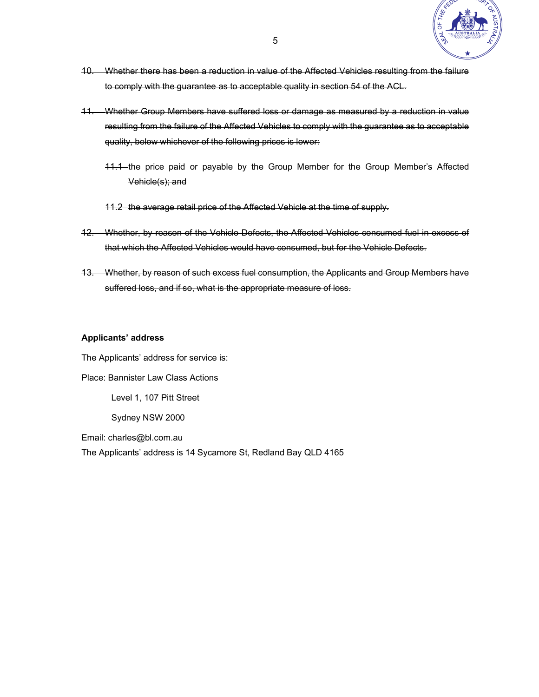

- 10. Whether there has been a reduction in value of the Affected Vehicles resulting from the failure to comply with the guarantee as to acceptable quality in section 54 of the ACL.
- 11. Whether Group Members have suffered loss or damage as measured by a reduction in value resulting from the failure of the Affected Vehicles to comply with the guarantee as to acceptable quality, below whichever of the following prices is lower:
	- 11.1 the price paid or payable by the Group Member for the Group Member's Affected Vehicle(s); and
	- 11.2 the average retail price of the Affected Vehicle at the time of supply.
- 12. Whether, by reason of the Vehicle Defects, the Affected Vehicles consumed fuel in excess of that which the Affected Vehicles would have consumed, but for the Vehicle Defects.
- 13. Whether, by reason of such excess fuel consumption, the Applicants and Group Members have suffered loss, and if so, what is the appropriate measure of loss.

### Applicants' address

The Applicants' address for service is: Place: Bannister Law Class Actions Level 1, 107 Pitt Street Sydney NSW 2000 Email: charles@bl.com.au

The Applicants' address is 14 Sycamore St, Redland Bay QLD 4165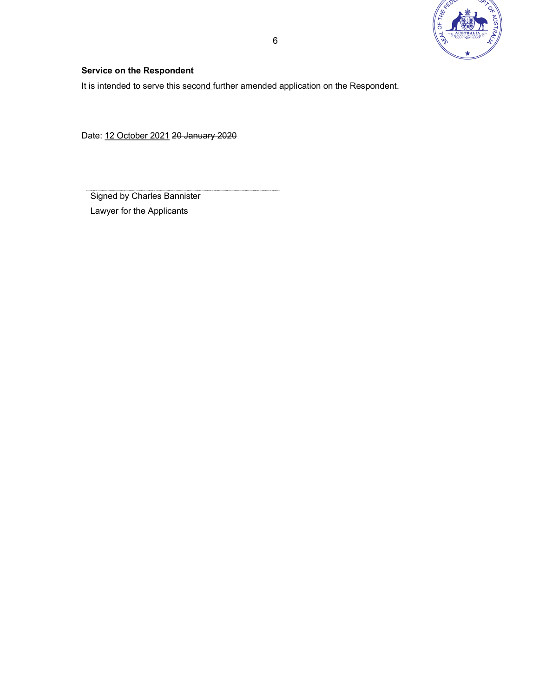

## Service on the Respondent

It is intended to serve this second further amended application on the Respondent.

Date: 12 October 2021 20 January 2020

Signed by Charles Bannister Lawyer for the Applicants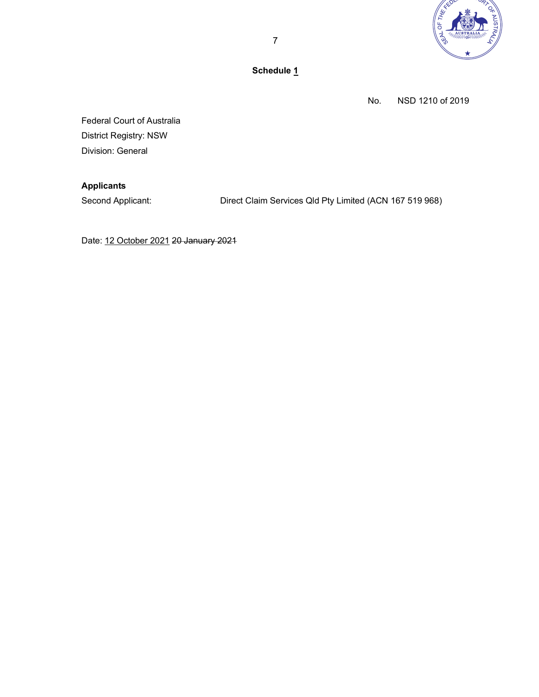

Schedule 1

No. NSD 1210 of 2019

Federal Court of Australia District Registry: NSW Division: General

## Applicants

Second Applicant: Direct Claim Services Qld Pty Limited (ACN 167 519 968)

Date: 12 October 2021 20 January 2021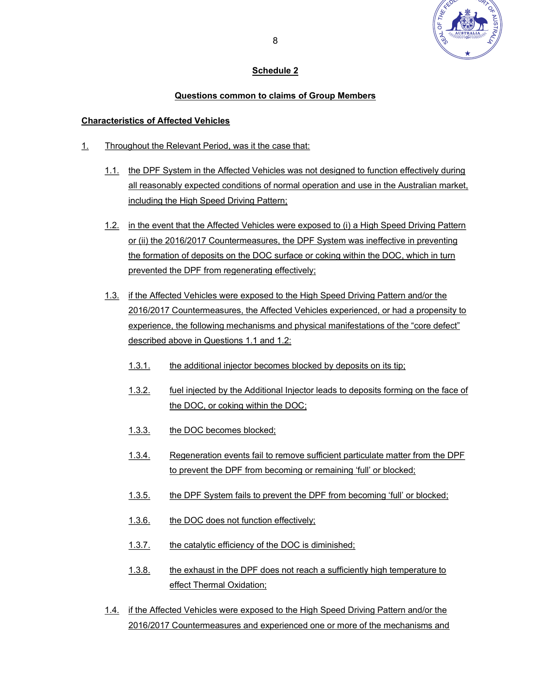

## Schedule 2

## Questions common to claims of Group Members

## Characteristics of Affected Vehicles

- 1. Throughout the Relevant Period, was it the case that:
	- 1.1. the DPF System in the Affected Vehicles was not designed to function effectively during all reasonably expected conditions of normal operation and use in the Australian market, including the High Speed Driving Pattern;
	- 1.2. in the event that the Affected Vehicles were exposed to (i) a High Speed Driving Pattern or (ii) the 2016/2017 Countermeasures, the DPF System was ineffective in preventing the formation of deposits on the DOC surface or coking within the DOC, which in turn prevented the DPF from regenerating effectively;
	- 1.3. if the Affected Vehicles were exposed to the High Speed Driving Pattern and/or the 2016/2017 Countermeasures, the Affected Vehicles experienced, or had a propensity to experience, the following mechanisms and physical manifestations of the "core defect" described above in Questions 1.1 and 1.2:
		- 1.3.1. the additional injector becomes blocked by deposits on its tip;
		- 1.3.2. fuel injected by the Additional Injector leads to deposits forming on the face of the DOC, or coking within the DOC;
		- 1.3.3. the DOC becomes blocked;
		- 1.3.4. Regeneration events fail to remove sufficient particulate matter from the DPF to prevent the DPF from becoming or remaining 'full' or blocked;
		- 1.3.5. the DPF System fails to prevent the DPF from becoming 'full' or blocked;
		- 1.3.6. the DOC does not function effectively;
		- 1.3.7. the catalytic efficiency of the DOC is diminished;
		- 1.3.8. the exhaust in the DPF does not reach a sufficiently high temperature to effect Thermal Oxidation;
	- 1.4. if the Affected Vehicles were exposed to the High Speed Driving Pattern and/or the 2016/2017 Countermeasures and experienced one or more of the mechanisms and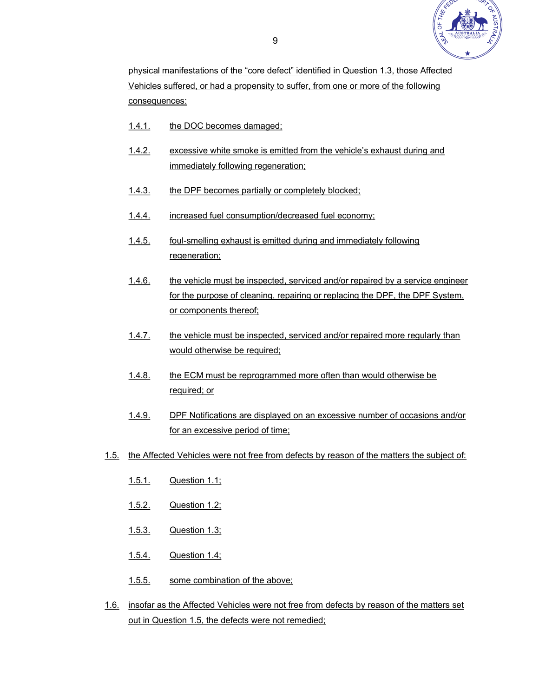

physical manifestations of the "core defect" identified in Question 1.3, those Affected Vehicles suffered, or had a propensity to suffer, from one or more of the following consequences:

- 1.4.1. the DOC becomes damaged;
- 1.4.2. excessive white smoke is emitted from the vehicle's exhaust during and immediately following regeneration;
- 1.4.3. the DPF becomes partially or completely blocked;
- 1.4.4. increased fuel consumption/decreased fuel economy;
- 1.4.5. foul-smelling exhaust is emitted during and immediately following regeneration;
- 1.4.6. the vehicle must be inspected, serviced and/or repaired by a service engineer for the purpose of cleaning, repairing or replacing the DPF, the DPF System, or components thereof;
- 1.4.7. the vehicle must be inspected, serviced and/or repaired more regularly than would otherwise be required;
- 1.4.8. the ECM must be reprogrammed more often than would otherwise be required; or
- 1.4.9. DPF Notifications are displayed on an excessive number of occasions and/or for an excessive period of time;
- 1.5. the Affected Vehicles were not free from defects by reason of the matters the subject of:
	- 1.5.1. Question 1.1;
	- 1.5.2. Question 1.2;
	- 1.5.3. Question 1.3;
	- 1.5.4. Question 1.4;
	- 1.5.5. some combination of the above;
- 1.6. insofar as the Affected Vehicles were not free from defects by reason of the matters set out in Question 1.5, the defects were not remedied;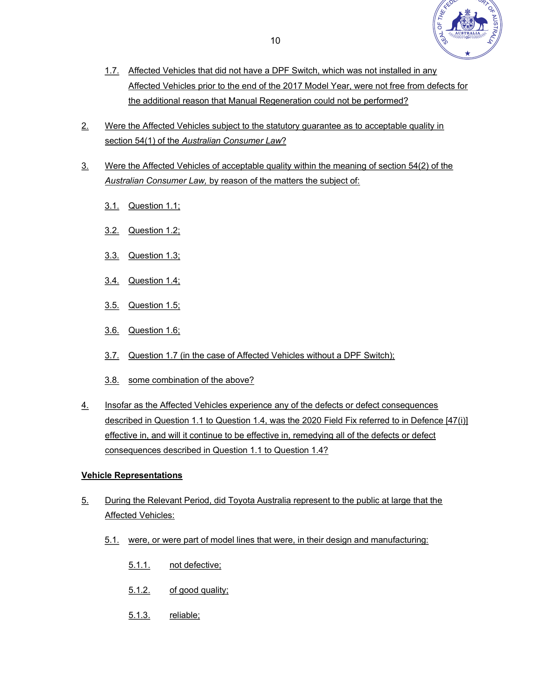

- 1.7. Affected Vehicles that did not have a DPF Switch, which was not installed in any Affected Vehicles prior to the end of the 2017 Model Year, were not free from defects for the additional reason that Manual Regeneration could not be performed?
- 2. Were the Affected Vehicles subject to the statutory guarantee as to acceptable quality in section 54(1) of the Australian Consumer Law?
- 3. Were the Affected Vehicles of acceptable quality within the meaning of section 54(2) of the Australian Consumer Law, by reason of the matters the subject of:
	- 3.1. Question 1.1;
	- 3.2. Question 1.2;
	- 3.3. Question 1.3;
	- 3.4. Question 1.4;
	- 3.5. Question 1.5;
	- 3.6. Question 1.6;
	- 3.7. Question 1.7 (in the case of Affected Vehicles without a DPF Switch);
	- 3.8. some combination of the above?
- 4. Insofar as the Affected Vehicles experience any of the defects or defect consequences described in Question 1.1 to Question 1.4, was the 2020 Field Fix referred to in Defence [47(i)] effective in, and will it continue to be effective in, remedying all of the defects or defect consequences described in Question 1.1 to Question 1.4?

## Vehicle Representations

- 5. During the Relevant Period, did Toyota Australia represent to the public at large that the Affected Vehicles:
	- 5.1. were, or were part of model lines that were, in their design and manufacturing:
		- 5.1.1. not defective;
		- 5.1.2. of good quality;
		- 5.1.3. reliable;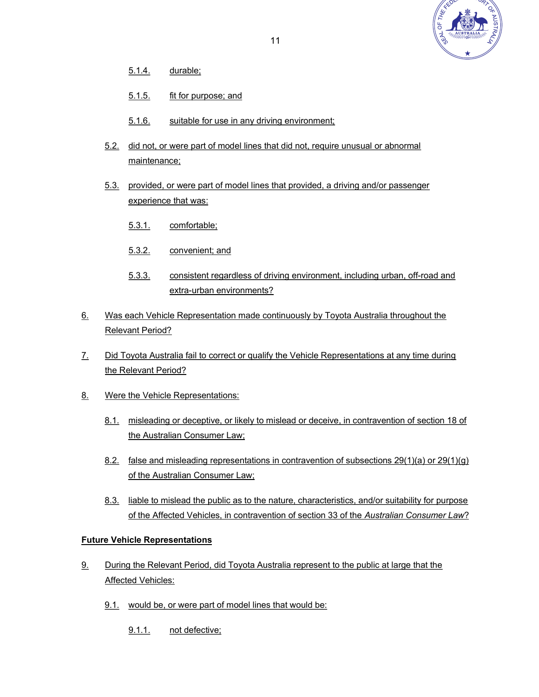

- 5.1.4. durable;
- 5.1.5. fit for purpose; and
- 5.1.6. suitable for use in any driving environment;
- 5.2. did not, or were part of model lines that did not, require unusual or abnormal maintenance;
- 5.3. provided, or were part of model lines that provided, a driving and/or passenger experience that was:
	- 5.3.1. comfortable;
	- 5.3.2. convenient; and
	- 5.3.3. consistent regardless of driving environment, including urban, off-road and extra-urban environments?
- 6. Was each Vehicle Representation made continuously by Toyota Australia throughout the Relevant Period?
- 7. Did Toyota Australia fail to correct or qualify the Vehicle Representations at any time during the Relevant Period?
- 8. Were the Vehicle Representations:
	- 8.1. misleading or deceptive, or likely to mislead or deceive, in contravention of section 18 of the Australian Consumer Law;
	- 8.2. false and misleading representations in contravention of subsections 29(1)(a) or 29(1)(g) of the Australian Consumer Law;
	- 8.3. liable to mislead the public as to the nature, characteristics, and/or suitability for purpose of the Affected Vehicles, in contravention of section 33 of the Australian Consumer Law?

## Future Vehicle Representations

- 9. During the Relevant Period, did Toyota Australia represent to the public at large that the Affected Vehicles:
	- 9.1. would be, or were part of model lines that would be:
		- 9.1.1. not defective;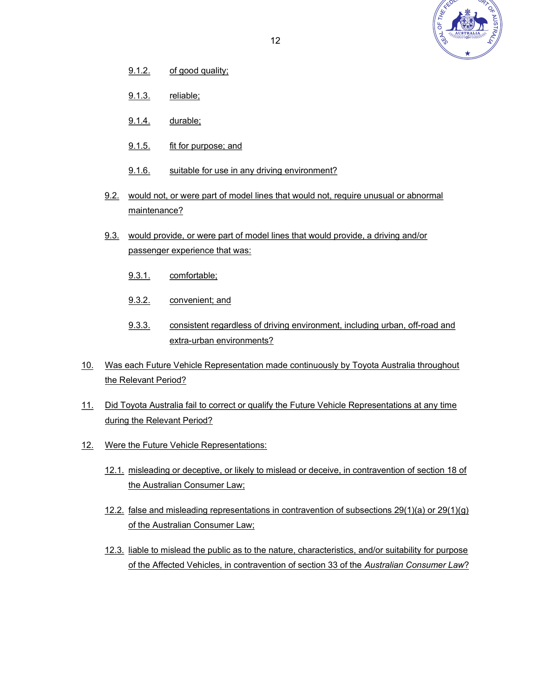

- 9.1.2. of good quality;
- 9.1.3. reliable;
- 9.1.4. durable;
- 9.1.5. fit for purpose; and
- 9.1.6. suitable for use in any driving environment?
- 9.2. would not, or were part of model lines that would not, require unusual or abnormal maintenance?
- 9.3. would provide, or were part of model lines that would provide, a driving and/or passenger experience that was:
	- 9.3.1. comfortable;
	- 9.3.2. convenient; and
	- 9.3.3. consistent regardless of driving environment, including urban, off-road and extra-urban environments?
- 10. Was each Future Vehicle Representation made continuously by Toyota Australia throughout the Relevant Period?
- 11. Did Toyota Australia fail to correct or qualify the Future Vehicle Representations at any time during the Relevant Period?
- 12. Were the Future Vehicle Representations:
	- 12.1. misleading or deceptive, or likely to mislead or deceive, in contravention of section 18 of the Australian Consumer Law;
	- 12.2. false and misleading representations in contravention of subsections 29(1)(a) or 29(1)(g) of the Australian Consumer Law;
	- 12.3. liable to mislead the public as to the nature, characteristics, and/or suitability for purpose of the Affected Vehicles, in contravention of section 33 of the Australian Consumer Law?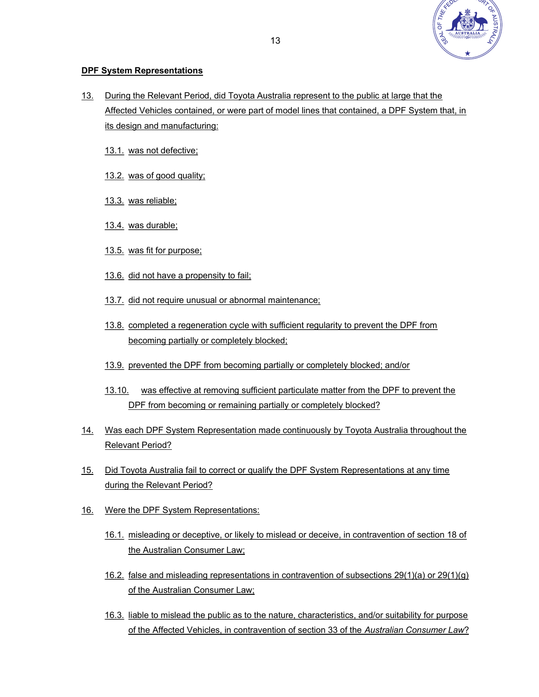

## DPF System Representations

- 13. During the Relevant Period, did Toyota Australia represent to the public at large that the Affected Vehicles contained, or were part of model lines that contained, a DPF System that, in its design and manufacturing:
	- 13.1. was not defective;
	- 13.2. was of good quality;
	- 13.3. was reliable;
	- 13.4. was durable;
	- 13.5. was fit for purpose;
	- 13.6. did not have a propensity to fail;
	- 13.7. did not require unusual or abnormal maintenance;
	- 13.8. completed a regeneration cycle with sufficient regularity to prevent the DPF from becoming partially or completely blocked;
	- 13.9. prevented the DPF from becoming partially or completely blocked; and/or
	- 13.10. was effective at removing sufficient particulate matter from the DPF to prevent the DPF from becoming or remaining partially or completely blocked?
- 14. Was each DPF System Representation made continuously by Toyota Australia throughout the Relevant Period?
- 15. Did Toyota Australia fail to correct or qualify the DPF System Representations at any time during the Relevant Period?
- 16. Were the DPF System Representations:
	- 16.1. misleading or deceptive, or likely to mislead or deceive, in contravention of section 18 of the Australian Consumer Law;
	- 16.2. false and misleading representations in contravention of subsections 29(1)(a) or 29(1)(g) of the Australian Consumer Law;
	- 16.3. liable to mislead the public as to the nature, characteristics, and/or suitability for purpose of the Affected Vehicles, in contravention of section 33 of the Australian Consumer Law?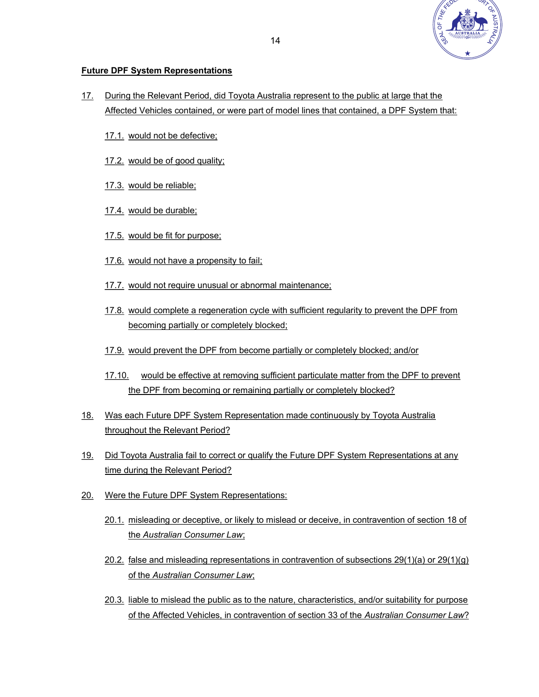

## Future DPF System Representations

- 17. During the Relevant Period, did Toyota Australia represent to the public at large that the Affected Vehicles contained, or were part of model lines that contained, a DPF System that:
	- 17.1. would not be defective;
	- 17.2. would be of good quality;
	- 17.3. would be reliable;
	- 17.4. would be durable;
	- 17.5. would be fit for purpose;
	- 17.6. would not have a propensity to fail;
	- 17.7. would not require unusual or abnormal maintenance;
	- 17.8. would complete a regeneration cycle with sufficient regularity to prevent the DPF from becoming partially or completely blocked;
	- 17.9. would prevent the DPF from become partially or completely blocked; and/or
	- 17.10. would be effective at removing sufficient particulate matter from the DPF to prevent the DPF from becoming or remaining partially or completely blocked?
- 18. Was each Future DPF System Representation made continuously by Toyota Australia throughout the Relevant Period?
- 19. Did Toyota Australia fail to correct or qualify the Future DPF System Representations at any time during the Relevant Period?
- 20. Were the Future DPF System Representations:
	- 20.1. misleading or deceptive, or likely to mislead or deceive, in contravention of section 18 of the Australian Consumer Law;
	- 20.2. false and misleading representations in contravention of subsections 29(1)(a) or 29(1)(g) of the Australian Consumer Law;
	- 20.3. liable to mislead the public as to the nature, characteristics, and/or suitability for purpose of the Affected Vehicles, in contravention of section 33 of the Australian Consumer Law?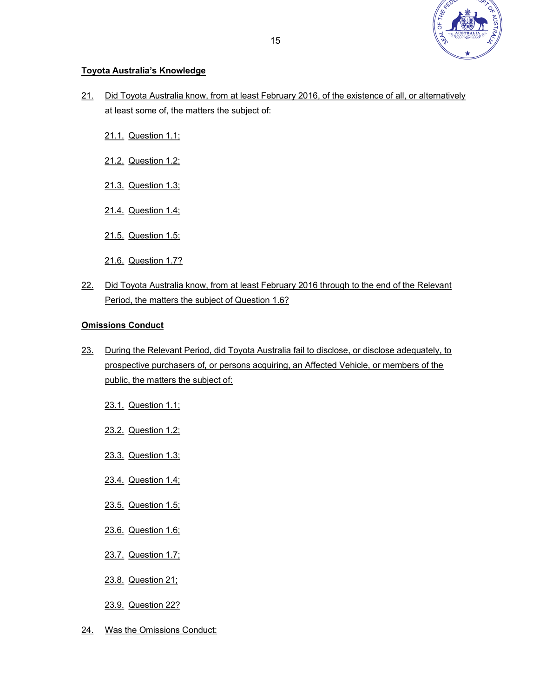

## Toyota Australia's Knowledge

- 21. Did Toyota Australia know, from at least February 2016, of the existence of all, or alternatively at least some of, the matters the subject of:
	- 21.1. Question 1.1;
	- 21.2. Question 1.2;
	- 21.3. Question 1.3;
	- 21.4. Question 1.4;
	- 21.5. Question 1.5;
	- 21.6. Question 1.7?
- 22. Did Toyota Australia know, from at least February 2016 through to the end of the Relevant Period, the matters the subject of Question 1.6?

## Omissions Conduct

- 23. During the Relevant Period, did Toyota Australia fail to disclose, or disclose adequately, to prospective purchasers of, or persons acquiring, an Affected Vehicle, or members of the public, the matters the subject of:
	- 23.1. Question 1.1;
	- 23.2. Question 1.2;
	- 23.3. Question 1.3;
	- 23.4. Question 1.4;
	- 23.5. Question 1.5;
	- 23.6. Question 1.6;
	- 23.7. Question 1.7;
	- 23.8. Question 21;
	- 23.9. Question 22?
- 24. Was the Omissions Conduct: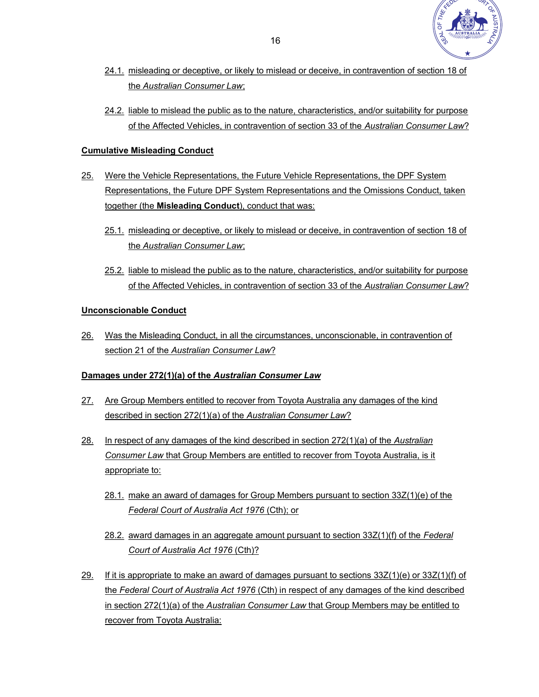

- 24.1. misleading or deceptive, or likely to mislead or deceive, in contravention of section 18 of the Australian Consumer Law;
- 24.2. liable to mislead the public as to the nature, characteristics, and/or suitability for purpose of the Affected Vehicles, in contravention of section 33 of the Australian Consumer Law?

## Cumulative Misleading Conduct

- 25. Were the Vehicle Representations, the Future Vehicle Representations, the DPF System Representations, the Future DPF System Representations and the Omissions Conduct, taken together (the Misleading Conduct), conduct that was:
	- 25.1. misleading or deceptive, or likely to mislead or deceive, in contravention of section 18 of the Australian Consumer Law;
	- 25.2. liable to mislead the public as to the nature, characteristics, and/or suitability for purpose of the Affected Vehicles, in contravention of section 33 of the Australian Consumer Law?

## Unconscionable Conduct

26. Was the Misleading Conduct, in all the circumstances, unconscionable, in contravention of section 21 of the Australian Consumer Law?

## Damages under 272(1)(a) of the Australian Consumer Law

- 27. Are Group Members entitled to recover from Toyota Australia any damages of the kind described in section 272(1)(a) of the Australian Consumer Law?
- 28. In respect of any damages of the kind described in section 272(1)(a) of the Australian Consumer Law that Group Members are entitled to recover from Toyota Australia, is it appropriate to:
	- 28.1. make an award of damages for Group Members pursuant to section 33Z(1)(e) of the Federal Court of Australia Act 1976 (Cth); or
	- 28.2. award damages in an aggregate amount pursuant to section 33Z(1)(f) of the Federal Court of Australia Act 1976 (Cth)?
- 29. If it is appropriate to make an award of damages pursuant to sections  $33Z(1)(e)$  or  $33Z(1)(f)$  of the Federal Court of Australia Act 1976 (Cth) in respect of any damages of the kind described in section 272(1)(a) of the Australian Consumer Law that Group Members may be entitled to recover from Toyota Australia: